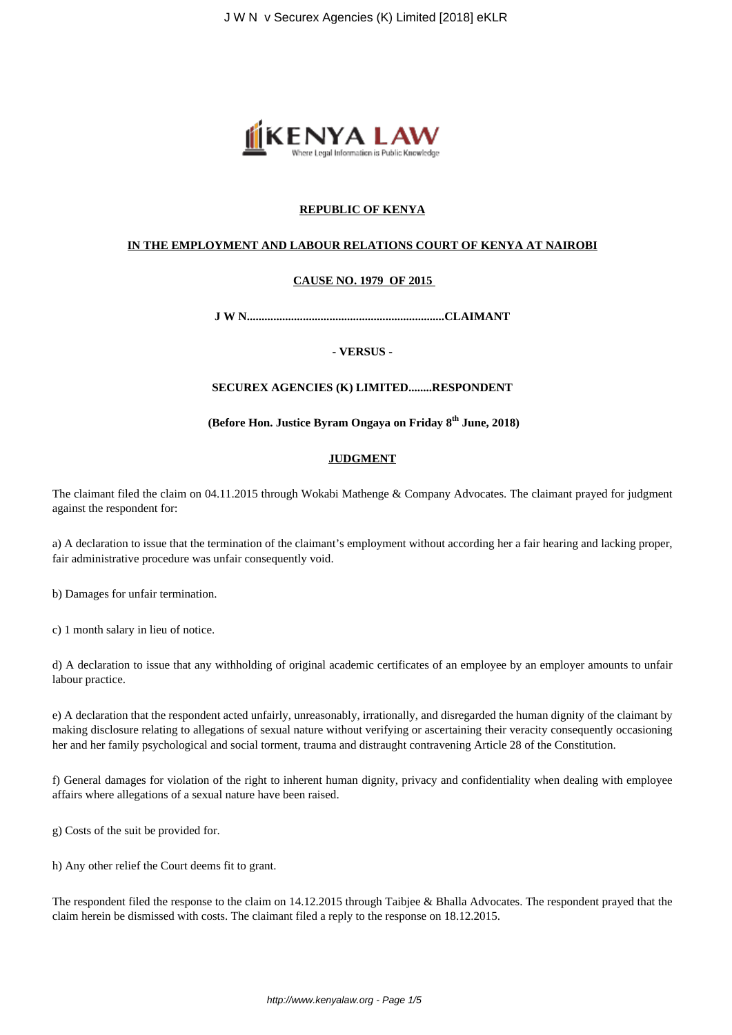

# **REPUBLIC OF KENYA**

#### **IN THE EMPLOYMENT AND LABOUR RELATIONS COURT OF KENYA AT NAIROBI**

## **CAUSE NO. 1979 OF 2015**

**J W N...................................................................CLAIMANT**

**- VERSUS -**

## **SECUREX AGENCIES (K) LIMITED........RESPONDENT**

**(Before Hon. Justice Byram Ongaya on Friday 8th June, 2018)**

#### **JUDGMENT**

The claimant filed the claim on 04.11.2015 through Wokabi Mathenge & Company Advocates. The claimant prayed for judgment against the respondent for:

a) A declaration to issue that the termination of the claimant's employment without according her a fair hearing and lacking proper, fair administrative procedure was unfair consequently void.

b) Damages for unfair termination.

c) 1 month salary in lieu of notice.

d) A declaration to issue that any withholding of original academic certificates of an employee by an employer amounts to unfair labour practice.

e) A declaration that the respondent acted unfairly, unreasonably, irrationally, and disregarded the human dignity of the claimant by making disclosure relating to allegations of sexual nature without verifying or ascertaining their veracity consequently occasioning her and her family psychological and social torment, trauma and distraught contravening Article 28 of the Constitution.

f) General damages for violation of the right to inherent human dignity, privacy and confidentiality when dealing with employee affairs where allegations of a sexual nature have been raised.

g) Costs of the suit be provided for.

h) Any other relief the Court deems fit to grant.

The respondent filed the response to the claim on 14.12.2015 through Taibjee & Bhalla Advocates. The respondent prayed that the claim herein be dismissed with costs. The claimant filed a reply to the response on 18.12.2015.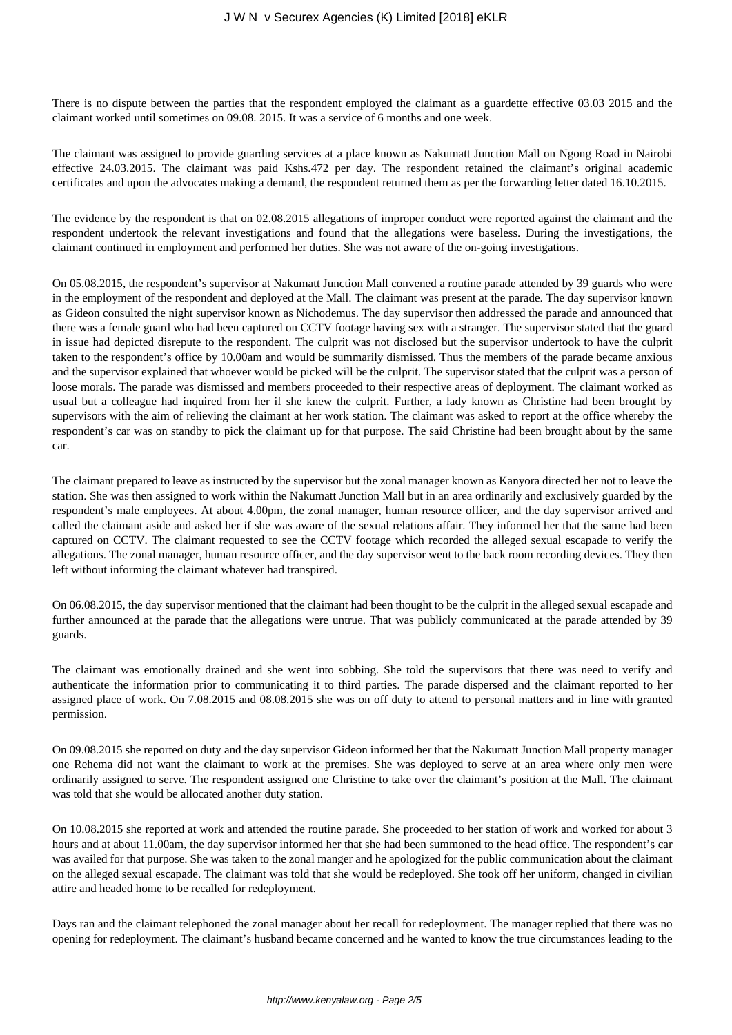There is no dispute between the parties that the respondent employed the claimant as a guardette effective 03.03 2015 and the claimant worked until sometimes on 09.08. 2015. It was a service of 6 months and one week.

The claimant was assigned to provide guarding services at a place known as Nakumatt Junction Mall on Ngong Road in Nairobi effective 24.03.2015. The claimant was paid Kshs.472 per day. The respondent retained the claimant's original academic certificates and upon the advocates making a demand, the respondent returned them as per the forwarding letter dated 16.10.2015.

The evidence by the respondent is that on 02.08.2015 allegations of improper conduct were reported against the claimant and the respondent undertook the relevant investigations and found that the allegations were baseless. During the investigations, the claimant continued in employment and performed her duties. She was not aware of the on-going investigations.

On 05.08.2015, the respondent's supervisor at Nakumatt Junction Mall convened a routine parade attended by 39 guards who were in the employment of the respondent and deployed at the Mall. The claimant was present at the parade. The day supervisor known as Gideon consulted the night supervisor known as Nichodemus. The day supervisor then addressed the parade and announced that there was a female guard who had been captured on CCTV footage having sex with a stranger. The supervisor stated that the guard in issue had depicted disrepute to the respondent. The culprit was not disclosed but the supervisor undertook to have the culprit taken to the respondent's office by 10.00am and would be summarily dismissed. Thus the members of the parade became anxious and the supervisor explained that whoever would be picked will be the culprit. The supervisor stated that the culprit was a person of loose morals. The parade was dismissed and members proceeded to their respective areas of deployment. The claimant worked as usual but a colleague had inquired from her if she knew the culprit. Further, a lady known as Christine had been brought by supervisors with the aim of relieving the claimant at her work station. The claimant was asked to report at the office whereby the respondent's car was on standby to pick the claimant up for that purpose. The said Christine had been brought about by the same car.

The claimant prepared to leave as instructed by the supervisor but the zonal manager known as Kanyora directed her not to leave the station. She was then assigned to work within the Nakumatt Junction Mall but in an area ordinarily and exclusively guarded by the respondent's male employees. At about 4.00pm, the zonal manager, human resource officer, and the day supervisor arrived and called the claimant aside and asked her if she was aware of the sexual relations affair. They informed her that the same had been captured on CCTV. The claimant requested to see the CCTV footage which recorded the alleged sexual escapade to verify the allegations. The zonal manager, human resource officer, and the day supervisor went to the back room recording devices. They then left without informing the claimant whatever had transpired.

On 06.08.2015, the day supervisor mentioned that the claimant had been thought to be the culprit in the alleged sexual escapade and further announced at the parade that the allegations were untrue. That was publicly communicated at the parade attended by 39 guards.

The claimant was emotionally drained and she went into sobbing. She told the supervisors that there was need to verify and authenticate the information prior to communicating it to third parties. The parade dispersed and the claimant reported to her assigned place of work. On 7.08.2015 and 08.08.2015 she was on off duty to attend to personal matters and in line with granted permission.

On 09.08.2015 she reported on duty and the day supervisor Gideon informed her that the Nakumatt Junction Mall property manager one Rehema did not want the claimant to work at the premises. She was deployed to serve at an area where only men were ordinarily assigned to serve. The respondent assigned one Christine to take over the claimant's position at the Mall. The claimant was told that she would be allocated another duty station.

On 10.08.2015 she reported at work and attended the routine parade. She proceeded to her station of work and worked for about 3 hours and at about 11.00am, the day supervisor informed her that she had been summoned to the head office. The respondent's car was availed for that purpose. She was taken to the zonal manger and he apologized for the public communication about the claimant on the alleged sexual escapade. The claimant was told that she would be redeployed. She took off her uniform, changed in civilian attire and headed home to be recalled for redeployment.

Days ran and the claimant telephoned the zonal manager about her recall for redeployment. The manager replied that there was no opening for redeployment. The claimant's husband became concerned and he wanted to know the true circumstances leading to the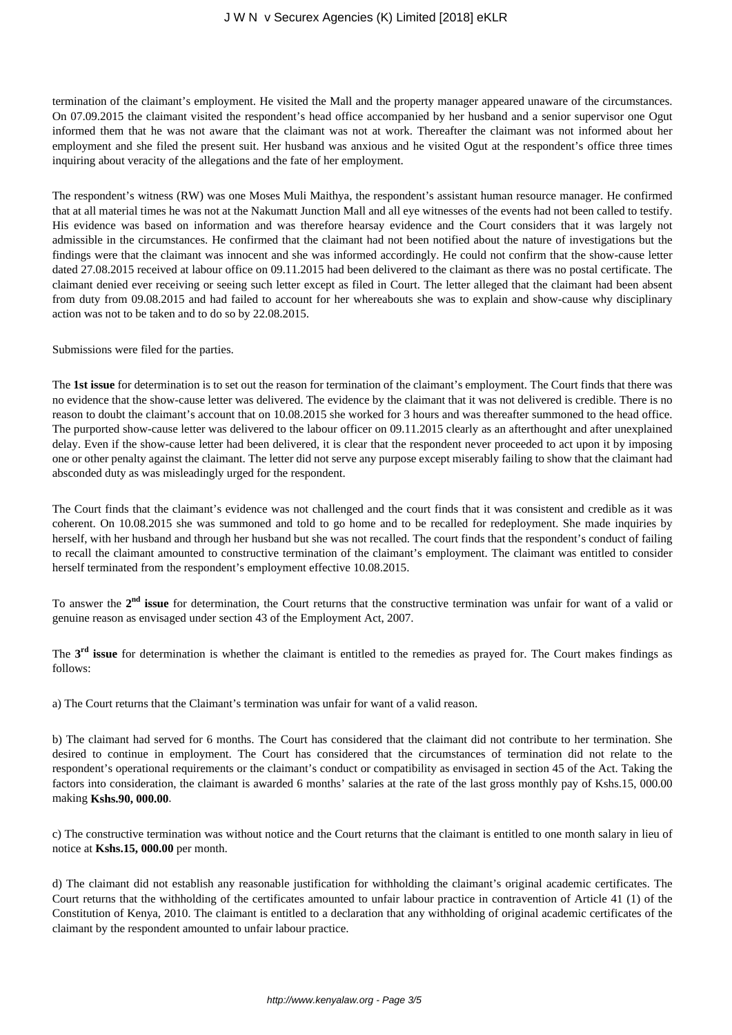termination of the claimant's employment. He visited the Mall and the property manager appeared unaware of the circumstances. On 07.09.2015 the claimant visited the respondent's head office accompanied by her husband and a senior supervisor one Ogut informed them that he was not aware that the claimant was not at work. Thereafter the claimant was not informed about her employment and she filed the present suit. Her husband was anxious and he visited Ogut at the respondent's office three times inquiring about veracity of the allegations and the fate of her employment.

The respondent's witness (RW) was one Moses Muli Maithya, the respondent's assistant human resource manager. He confirmed that at all material times he was not at the Nakumatt Junction Mall and all eye witnesses of the events had not been called to testify. His evidence was based on information and was therefore hearsay evidence and the Court considers that it was largely not admissible in the circumstances. He confirmed that the claimant had not been notified about the nature of investigations but the findings were that the claimant was innocent and she was informed accordingly. He could not confirm that the show-cause letter dated 27.08.2015 received at labour office on 09.11.2015 had been delivered to the claimant as there was no postal certificate. The claimant denied ever receiving or seeing such letter except as filed in Court. The letter alleged that the claimant had been absent from duty from 09.08.2015 and had failed to account for her whereabouts she was to explain and show-cause why disciplinary action was not to be taken and to do so by 22.08.2015.

Submissions were filed for the parties.

The **1st issue** for determination is to set out the reason for termination of the claimant's employment. The Court finds that there was no evidence that the show-cause letter was delivered. The evidence by the claimant that it was not delivered is credible. There is no reason to doubt the claimant's account that on 10.08.2015 she worked for 3 hours and was thereafter summoned to the head office. The purported show-cause letter was delivered to the labour officer on 09.11.2015 clearly as an afterthought and after unexplained delay. Even if the show-cause letter had been delivered, it is clear that the respondent never proceeded to act upon it by imposing one or other penalty against the claimant. The letter did not serve any purpose except miserably failing to show that the claimant had absconded duty as was misleadingly urged for the respondent.

The Court finds that the claimant's evidence was not challenged and the court finds that it was consistent and credible as it was coherent. On 10.08.2015 she was summoned and told to go home and to be recalled for redeployment. She made inquiries by herself, with her husband and through her husband but she was not recalled. The court finds that the respondent's conduct of failing to recall the claimant amounted to constructive termination of the claimant's employment. The claimant was entitled to consider herself terminated from the respondent's employment effective 10.08.2015.

To answer the 2<sup>nd</sup> issue for determination, the Court returns that the constructive termination was unfair for want of a valid or genuine reason as envisaged under section 43 of the Employment Act, 2007.

The 3<sup>rd</sup> issue for determination is whether the claimant is entitled to the remedies as prayed for. The Court makes findings as follows:

a) The Court returns that the Claimant's termination was unfair for want of a valid reason.

b) The claimant had served for 6 months. The Court has considered that the claimant did not contribute to her termination. She desired to continue in employment. The Court has considered that the circumstances of termination did not relate to the respondent's operational requirements or the claimant's conduct or compatibility as envisaged in section 45 of the Act. Taking the factors into consideration, the claimant is awarded 6 months' salaries at the rate of the last gross monthly pay of Kshs.15, 000.00 making **Kshs.90, 000.00**.

c) The constructive termination was without notice and the Court returns that the claimant is entitled to one month salary in lieu of notice at **Kshs.15, 000.00** per month.

d) The claimant did not establish any reasonable justification for withholding the claimant's original academic certificates. The Court returns that the withholding of the certificates amounted to unfair labour practice in contravention of Article 41 (1) of the Constitution of Kenya, 2010. The claimant is entitled to a declaration that any withholding of original academic certificates of the claimant by the respondent amounted to unfair labour practice.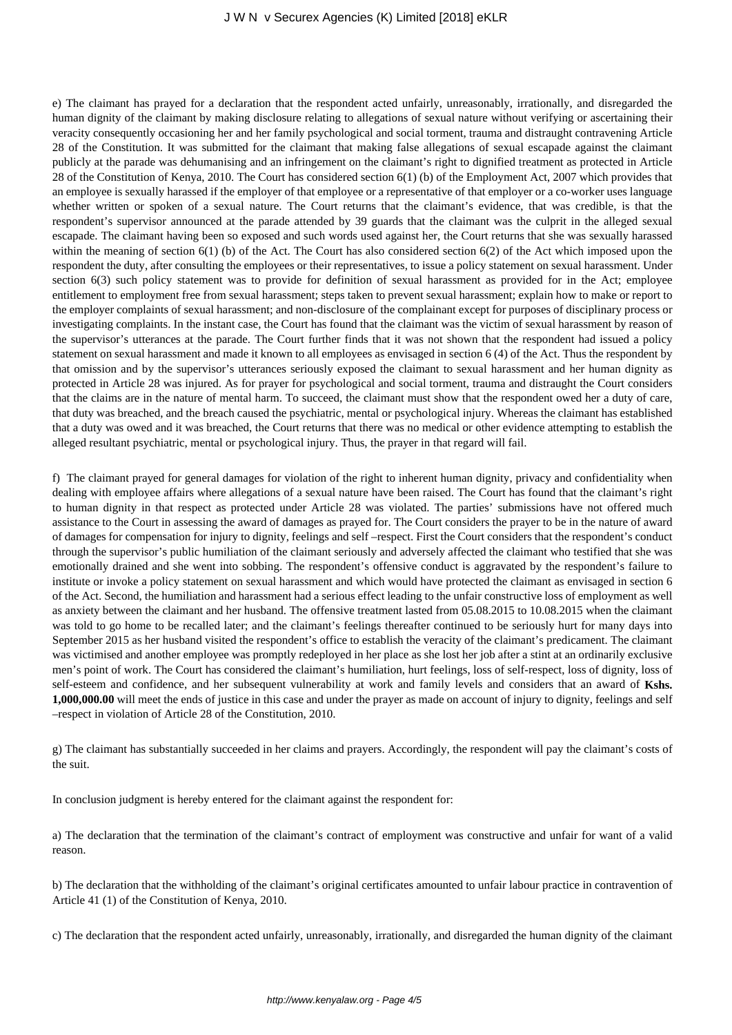#### J W N v Securex Agencies (K) Limited [2018] eKLR

e) The claimant has prayed for a declaration that the respondent acted unfairly, unreasonably, irrationally, and disregarded the human dignity of the claimant by making disclosure relating to allegations of sexual nature without verifying or ascertaining their veracity consequently occasioning her and her family psychological and social torment, trauma and distraught contravening Article 28 of the Constitution. It was submitted for the claimant that making false allegations of sexual escapade against the claimant publicly at the parade was dehumanising and an infringement on the claimant's right to dignified treatment as protected in Article 28 of the Constitution of Kenya, 2010. The Court has considered section 6(1) (b) of the Employment Act, 2007 which provides that an employee is sexually harassed if the employer of that employee or a representative of that employer or a co-worker uses language whether written or spoken of a sexual nature. The Court returns that the claimant's evidence, that was credible, is that the respondent's supervisor announced at the parade attended by 39 guards that the claimant was the culprit in the alleged sexual escapade. The claimant having been so exposed and such words used against her, the Court returns that she was sexually harassed within the meaning of section 6(1) (b) of the Act. The Court has also considered section 6(2) of the Act which imposed upon the respondent the duty, after consulting the employees or their representatives, to issue a policy statement on sexual harassment. Under section 6(3) such policy statement was to provide for definition of sexual harassment as provided for in the Act; employee entitlement to employment free from sexual harassment; steps taken to prevent sexual harassment; explain how to make or report to the employer complaints of sexual harassment; and non-disclosure of the complainant except for purposes of disciplinary process or investigating complaints. In the instant case, the Court has found that the claimant was the victim of sexual harassment by reason of the supervisor's utterances at the parade. The Court further finds that it was not shown that the respondent had issued a policy statement on sexual harassment and made it known to all employees as envisaged in section 6 (4) of the Act. Thus the respondent by that omission and by the supervisor's utterances seriously exposed the claimant to sexual harassment and her human dignity as protected in Article 28 was injured. As for prayer for psychological and social torment, trauma and distraught the Court considers that the claims are in the nature of mental harm. To succeed, the claimant must show that the respondent owed her a duty of care, that duty was breached, and the breach caused the psychiatric, mental or psychological injury. Whereas the claimant has established that a duty was owed and it was breached, the Court returns that there was no medical or other evidence attempting to establish the alleged resultant psychiatric, mental or psychological injury. Thus, the prayer in that regard will fail.

f) The claimant prayed for general damages for violation of the right to inherent human dignity, privacy and confidentiality when dealing with employee affairs where allegations of a sexual nature have been raised. The Court has found that the claimant's right to human dignity in that respect as protected under Article 28 was violated. The parties' submissions have not offered much assistance to the Court in assessing the award of damages as prayed for. The Court considers the prayer to be in the nature of award of damages for compensation for injury to dignity, feelings and self –respect. First the Court considers that the respondent's conduct through the supervisor's public humiliation of the claimant seriously and adversely affected the claimant who testified that she was emotionally drained and she went into sobbing. The respondent's offensive conduct is aggravated by the respondent's failure to institute or invoke a policy statement on sexual harassment and which would have protected the claimant as envisaged in section 6 of the Act. Second, the humiliation and harassment had a serious effect leading to the unfair constructive loss of employment as well as anxiety between the claimant and her husband. The offensive treatment lasted from 05.08.2015 to 10.08.2015 when the claimant was told to go home to be recalled later; and the claimant's feelings thereafter continued to be seriously hurt for many days into September 2015 as her husband visited the respondent's office to establish the veracity of the claimant's predicament. The claimant was victimised and another employee was promptly redeployed in her place as she lost her job after a stint at an ordinarily exclusive men's point of work. The Court has considered the claimant's humiliation, hurt feelings, loss of self-respect, loss of dignity, loss of self-esteem and confidence, and her subsequent vulnerability at work and family levels and considers that an award of **Kshs. 1,000,000.00** will meet the ends of justice in this case and under the prayer as made on account of injury to dignity, feelings and self –respect in violation of Article 28 of the Constitution, 2010.

g) The claimant has substantially succeeded in her claims and prayers. Accordingly, the respondent will pay the claimant's costs of the suit.

In conclusion judgment is hereby entered for the claimant against the respondent for:

a) The declaration that the termination of the claimant's contract of employment was constructive and unfair for want of a valid reason.

b) The declaration that the withholding of the claimant's original certificates amounted to unfair labour practice in contravention of Article 41 (1) of the Constitution of Kenya, 2010.

c) The declaration that the respondent acted unfairly, unreasonably, irrationally, and disregarded the human dignity of the claimant